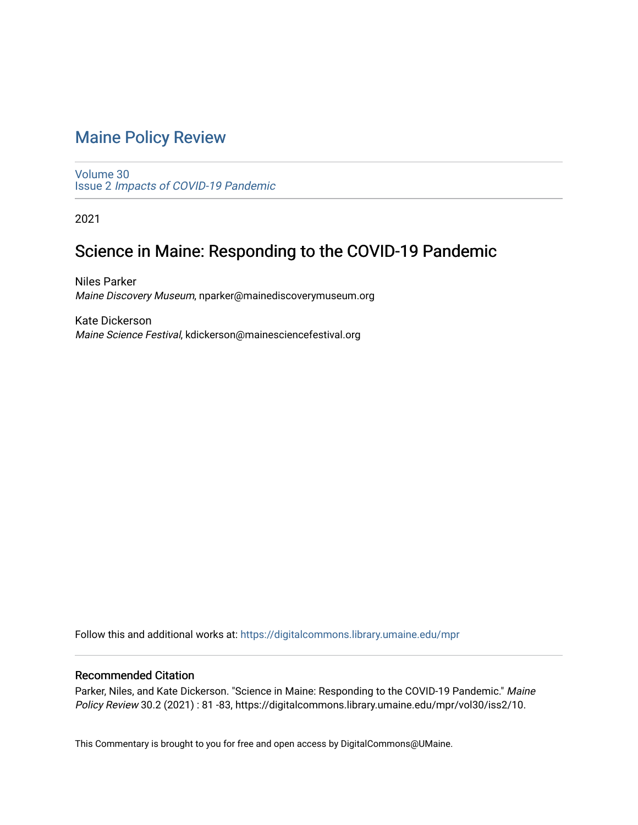# [Maine Policy Review](https://digitalcommons.library.umaine.edu/mpr)

[Volume 30](https://digitalcommons.library.umaine.edu/mpr/vol30) Issue 2 [Impacts of COVID-19 Pandemic](https://digitalcommons.library.umaine.edu/mpr/vol30/iss2)

2021

# Science in Maine: Responding to the COVID-19 Pandemic

Niles Parker Maine Discovery Museum, nparker@mainediscoverymuseum.org

Kate Dickerson Maine Science Festival, kdickerson@mainesciencefestival.org

Follow this and additional works at: [https://digitalcommons.library.umaine.edu/mpr](https://digitalcommons.library.umaine.edu/mpr?utm_source=digitalcommons.library.umaine.edu%2Fmpr%2Fvol30%2Fiss2%2F10&utm_medium=PDF&utm_campaign=PDFCoverPages)

## Recommended Citation

Parker, Niles, and Kate Dickerson. "Science in Maine: Responding to the COVID-19 Pandemic." Maine Policy Review 30.2 (2021) : 81 -83, https://digitalcommons.library.umaine.edu/mpr/vol30/iss2/10.

This Commentary is brought to you for free and open access by DigitalCommons@UMaine.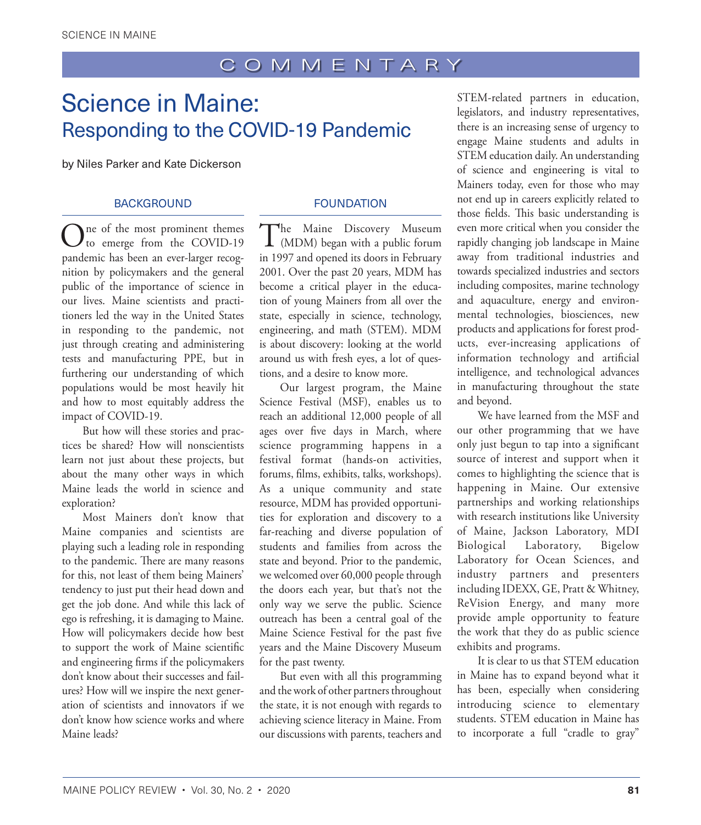# Science in Maine: Responding to the COVID-19 Pandemic

by Niles Parker and Kate Dickerson

## **BACKGROUND**

One of the most prominent themes<br>to emerge from the COVID-19 pandemic has been an ever-larger recognition by policymakers and the general public of the importance of science in our lives. Maine scientists and practitioners led the way in the United States in responding to the pandemic, not just through creating and administering tests and manufacturing PPE, but in furthering our understanding of which populations would be most heavily hit and how to most equitably address the impact of COVID-19.

But how will these stories and practices be shared? How will nonscientists learn not just about these projects, but about the many other ways in which Maine leads the world in science and exploration?

Most Mainers don't know that Maine companies and scientists are playing such a leading role in responding to the pandemic. There are many reasons for this, not least of them being Mainers' tendency to just put their head down and get the job done. And while this lack of ego is refreshing, it is damaging to Maine. How will policymakers decide how best to support the work of Maine scientific and engineering firms if the policymakers don't know about their successes and failures? How will we inspire the next generation of scientists and innovators if we don't know how science works and where Maine leads?

## FOUNDATION

The Maine Discovery Museum<br>
(MDM) began with a public forum in 1997 and opened its doors in February 2001. Over the past 20 years, MDM has become a critical player in the education of young Mainers from all over the state, especially in science, technology, engineering, and math (STEM). MDM is about discovery: looking at the world around us with fresh eyes, a lot of questions, and a desire to know more.

Our largest program, the Maine Science Festival (MSF), enables us to reach an additional 12,000 people of all ages over five days in March, where science programming happens in a festival format (hands-on activities, forums, films, exhibits, talks, workshops). As a unique community and state resource, MDM has provided opportunities for exploration and discovery to a far-reaching and diverse population of students and families from across the state and beyond. Prior to the pandemic, we welcomed over 60,000 people through the doors each year, but that's not the only way we serve the public. Science outreach has been a central goal of the Maine Science Festival for the past five years and the Maine Discovery Museum for the past twenty.

But even with all this programming and the work of other partners throughout the state, it is not enough with regards to achieving science literacy in Maine. From our discussions with parents, teachers and

STEM-related partners in education, legislators, and industry representatives, there is an increasing sense of urgency to engage Maine students and adults in STEM education daily. An understanding of science and engineering is vital to Mainers today, even for those who may not end up in careers explicitly related to those fields. This basic understanding is even more critical when you consider the rapidly changing job landscape in Maine away from traditional industries and towards specialized industries and sectors including composites, marine technology and aquaculture, energy and environmental technologies, biosciences, new products and applications for forest products, ever-increasing applications of information technology and artificial intelligence, and technological advances in manufacturing throughout the state and beyond.

We have learned from the MSF and our other programming that we have only just begun to tap into a significant source of interest and support when it comes to highlighting the science that is happening in Maine. Our extensive partnerships and working relationships with research institutions like University of Maine, Jackson Laboratory, MDI Biological Laboratory, Bigelow Laboratory for Ocean Sciences, and industry partners and presenters including IDEXX, GE, Pratt & Whitney, ReVision Energy, and many more provide ample opportunity to feature the work that they do as public science exhibits and programs.

It is clear to us that STEM education in Maine has to expand beyond what it has been, especially when considering introducing science to elementary students. STEM education in Maine has to incorporate a full "cradle to gray"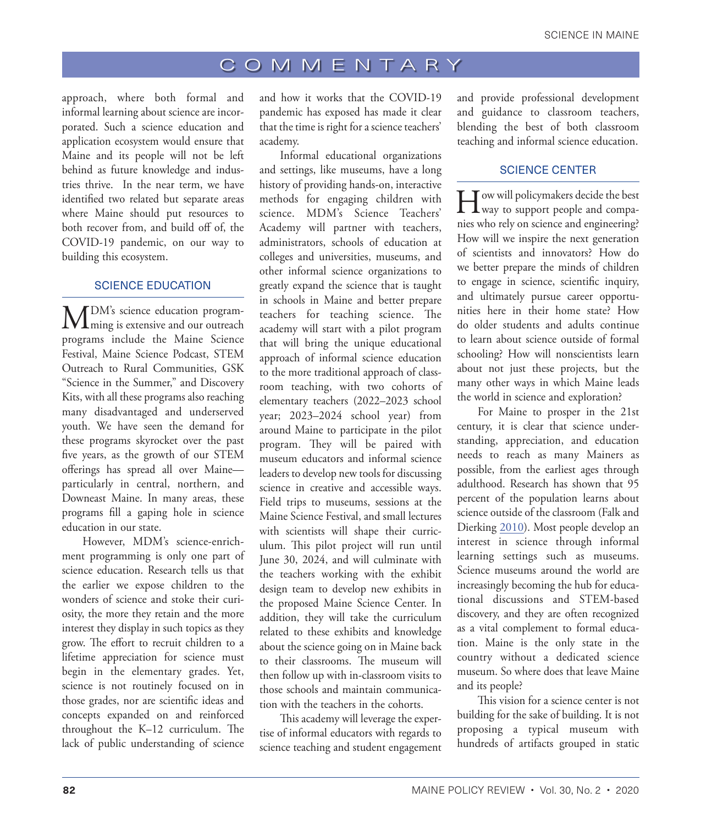## COMMENTARY

approach, where both formal and informal learning about science are incorporated. Such a science education and application ecosystem would ensure that Maine and its people will not be left behind as future knowledge and industries thrive. In the near term, we have identified two related but separate areas where Maine should put resources to both recover from, and build off of, the COVID-19 pandemic, on our way to building this ecosystem.

#### SCIENCE EDUCATION

MDM's science education program-ming is extensive and our outreach programs include the Maine Science Festival, Maine Science Podcast, STEM Outreach to Rural Communities, GSK "Science in the Summer," and Discovery Kits, with all these programs also reaching many disadvantaged and underserved youth. We have seen the demand for these programs skyrocket over the past five years, as the growth of our STEM offerings has spread all over Maine particularly in central, northern, and Downeast Maine. In many areas, these programs fill a gaping hole in science education in our state.

However, MDM's science-enrichment programming is only one part of science education. Research tells us that the earlier we expose children to the wonders of science and stoke their curiosity, the more they retain and the more interest they display in such topics as they grow. The effort to recruit children to a lifetime appreciation for science must begin in the elementary grades. Yet, science is not routinely focused on in those grades, nor are scientific ideas and concepts expanded on and reinforced throughout the K–12 curriculum. The lack of public understanding of science

and how it works that the COVID-19 pandemic has exposed has made it clear that the time is right for a science teachers' academy.

Informal educational organizations and settings, like museums, have a long history of providing hands-on, interactive methods for engaging children with science. MDM's Science Teachers' Academy will partner with teachers, administrators, schools of education at colleges and universities, museums, and other informal science organizations to greatly expand the science that is taught in schools in Maine and better prepare teachers for teaching science. The academy will start with a pilot program that will bring the unique educational approach of informal science education to the more traditional approach of classroom teaching, with two cohorts of elementary teachers (2022–2023 school year; 2023–2024 school year) from around Maine to participate in the pilot program. They will be paired with museum educators and informal science leaders to develop new tools for discussing science in creative and accessible ways. Field trips to museums, sessions at the Maine Science Festival, and small lectures with scientists will shape their curriculum. This pilot project will run until June 30, 2024, and will culminate with the teachers working with the exhibit design team to develop new exhibits in the proposed Maine Science Center. In addition, they will take the curriculum related to these exhibits and knowledge about the science going on in Maine back to their classrooms. The museum will then follow up with in-classroom visits to those schools and maintain communication with the teachers in the cohorts.

This academy will leverage the expertise of informal educators with regards to science teaching and student engagement and provide professional development and guidance to classroom teachers, blending the best of both classroom teaching and informal science education.

#### SCIENCE CENTER

How will policymakers decide the best way to support people and companies who rely on science and engineering? How will we inspire the next generation of scientists and innovators? How do we better prepare the minds of children to engage in science, scientific inquiry, and ultimately pursue career opportunities here in their home state? How do older students and adults continue to learn about science outside of formal schooling? How will nonscientists learn about not just these projects, but the many other ways in which Maine leads the world in science and exploration?

For Maine to prosper in the 21st century, it is clear that science understanding, appreciation, and education needs to reach as many Mainers as possible, from the earliest ages through adulthood. Research has shown that 95 percent of the population learns about science outside of the classroom (Falk and Dierking [2010](#page-3-0)). Most people develop an interest in science through informal learning settings such as museums. Science museums around the world are increasingly becoming the hub for educational discussions and STEM-based discovery, and they are often recognized as a vital complement to formal education. Maine is the only state in the country without a dedicated science museum. So where does that leave Maine and its people?

This vision for a science center is not building for the sake of building. It is not proposing a typical museum with hundreds of artifacts grouped in static